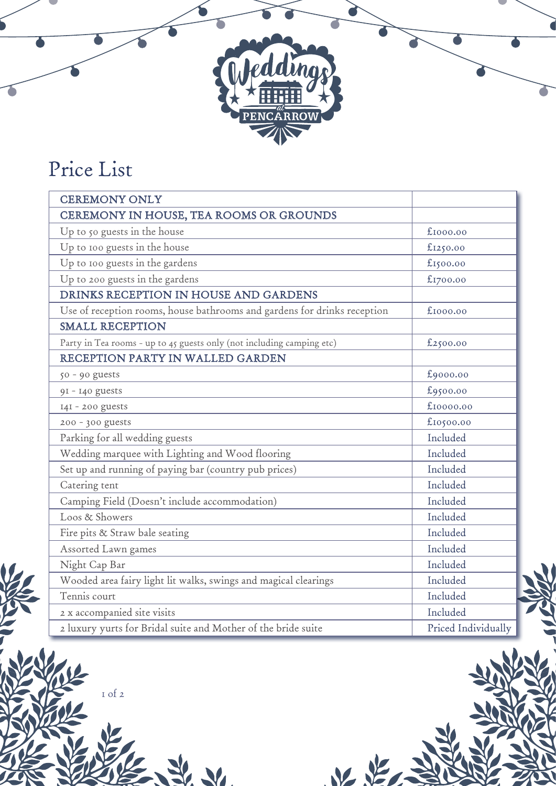## Price List

| <b>CEREMONY ONLY</b>                                                     |                     |
|--------------------------------------------------------------------------|---------------------|
| CEREMONY IN HOUSE, TEA ROOMS OR GROUNDS                                  |                     |
| Up to 50 guests in the house                                             | £1000.00            |
| Up to 100 guests in the house                                            | £1250.00            |
| Up to 100 guests in the gardens                                          | £1500.00            |
| Up to 200 guests in the gardens                                          | £1700.00            |
| DRINKS RECEPTION IN HOUSE AND GARDENS                                    |                     |
| Use of reception rooms, house bathrooms and gardens for drinks reception | £1000.00            |
| <b>SMALL RECEPTION</b>                                                   |                     |
| Party in Tea rooms - up to 45 guests only (not including camping etc)    | £2500.00            |
| RECEPTION PARTY IN WALLED GARDEN                                         |                     |
| $50 - 90$ guests                                                         | £9000.00            |
| 91 - 140 guests                                                          | £9500.00            |
| 141 - 200 guests                                                         | £10000.00           |
| 200 - 300 guests                                                         | £10500.00           |
| Parking for all wedding guests                                           | Included            |
| Wedding marquee with Lighting and Wood flooring                          | Included            |
| Set up and running of paying bar (country pub prices)                    | Included            |
| Catering tent                                                            | Included            |
| Camping Field (Doesn't include accommodation)                            | Included            |
| Loos & Showers                                                           | Included            |
| Fire pits & Straw bale seating                                           | Included            |
| Assorted Lawn games                                                      | Included            |
| Night Cap Bar                                                            | Included            |
| Wooded area fairy light lit walks, swings and magical clearings          | Included            |
| Tennis court                                                             | Included            |
| 2 x accompanied site visits                                              | Included            |
| 2 luxury yurts for Bridal suite and Mother of the bride suite            | Priced Individually |

dding

ENCARROW

1 of 2